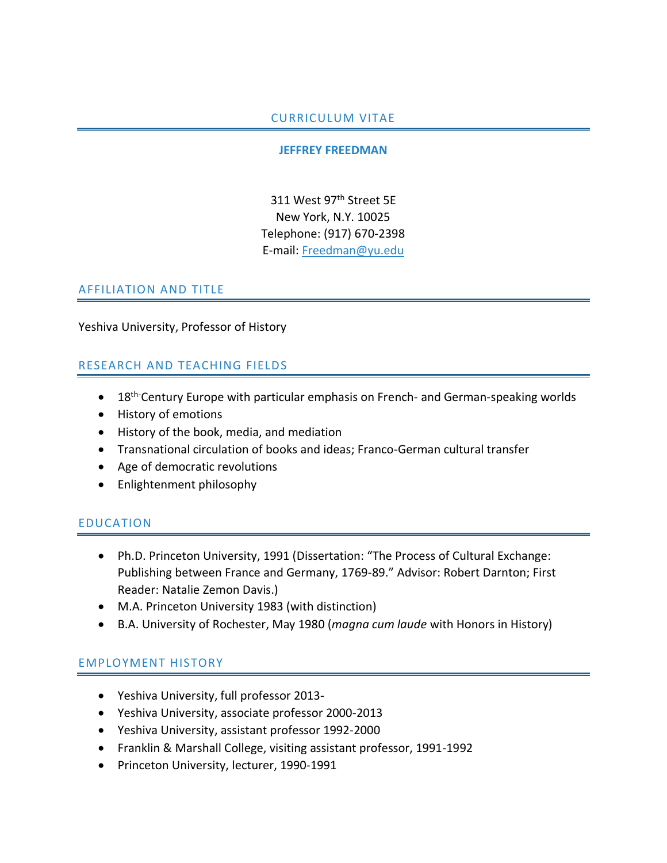### CURRICULUM VITAE

#### **JEFFREY FREEDMAN**

311 West 97<sup>th</sup> Street 5E New York, N.Y. 10025 Telephone: (917) 670-2398 E-mail: Freedman@yu.edu

### AFFILIATION AND TITLE

Yeshiva University, Professor of History

## RESEARCH AND TEACHING FIELDS

- 18<sup>th-</sup>Century Europe with particular emphasis on French- and German-speaking worlds
- History of emotions
- History of the book, media, and mediation
- Transnational circulation of books and ideas; Franco-German cultural transfer
- Age of democratic revolutions
- Enlightenment philosophy

## EDUCATION

- Ph.D. Princeton University, 1991 (Dissertation: "The Process of Cultural Exchange: Publishing between France and Germany, 1769-89." Advisor: Robert Darnton; First Reader: Natalie Zemon Davis.)
- M.A. Princeton University 1983 (with distinction)
- B.A. University of Rochester, May 1980 (*magna cum laude* with Honors in History)

#### EMPLOYMENT HISTORY

- Yeshiva University, full professor 2013-
- Yeshiva University, associate professor 2000-2013
- Yeshiva University, assistant professor 1992-2000
- Franklin & Marshall College, visiting assistant professor, 1991-1992
- Princeton University, lecturer, 1990-1991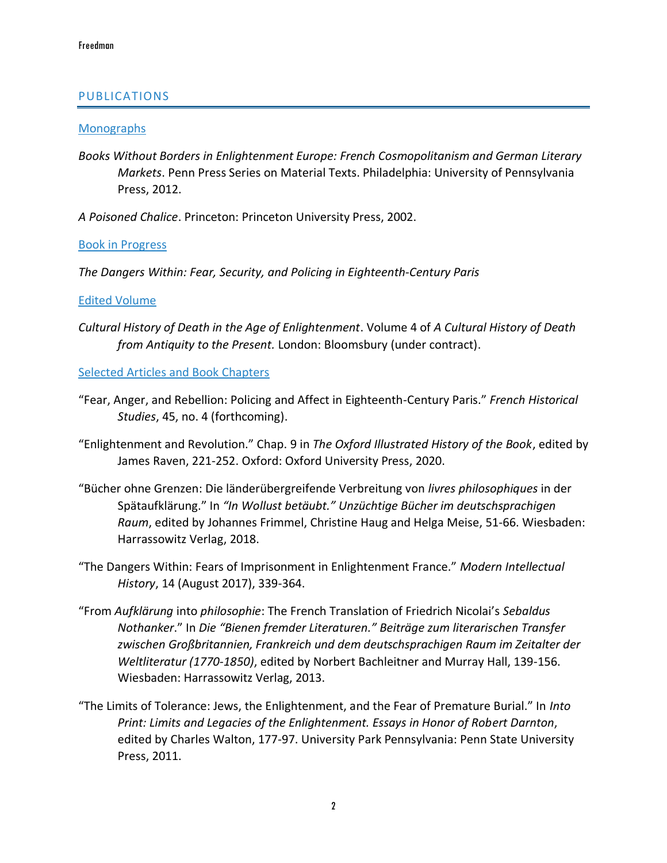### PUBLICATIONS

#### **Monographs**

- *Books Without Borders in Enlightenment Europe: French Cosmopolitanism and German Literary Markets*. Penn Press Series on Material Texts. Philadelphia: University of Pennsylvania Press, 2012.
- *A Poisoned Chalice*. Princeton: Princeton University Press, 2002.

Book in Progress

*The Dangers Within: Fear, Security, and Policing in Eighteenth-Century Paris*

#### Edited Volume

*Cultural History of Death in the Age of Enlightenment*. Volume 4 of *A Cultural History of Death from Antiquity to the Present.* London: Bloomsbury (under contract).

#### Selected Articles and Book Chapters

- "Fear, Anger, and Rebellion: Policing and Affect in Eighteenth-Century Paris." *French Historical Studies*, 45, no. 4 (forthcoming).
- "Enlightenment and Revolution." Chap. 9 in *The Oxford Illustrated History of the Book*, edited by James Raven, 221-252. Oxford: Oxford University Press, 2020.
- "Bücher ohne Grenzen: Die länderübergreifende Verbreitung von *livres philosophiques* in der Spätaufklärung." In *"In Wollust betäubt." Unzüchtige Bücher im deutschsprachigen Raum*, edited by Johannes Frimmel, Christine Haug and Helga Meise, 51-66. Wiesbaden: Harrassowitz Verlag, 2018.
- "The Dangers Within: Fears of Imprisonment in Enlightenment France." *Modern Intellectual History*, 14 (August 2017), 339-364.
- "From *Aufklärung* into *philosophie*: The French Translation of Friedrich Nicolai's *Sebaldus Nothanker*." In *Die "Bienen fremder Literaturen." Beiträge zum literarischen Transfer zwischen Großbritannien, Frankreich und dem deutschsprachigen Raum im Zeitalter der Weltliteratur (1770-1850)*, edited by Norbert Bachleitner and Murray Hall, 139-156. Wiesbaden: Harrassowitz Verlag, 2013.
- "The Limits of Tolerance: Jews, the Enlightenment, and the Fear of Premature Burial." In *Into Print: Limits and Legacies of the Enlightenment. Essays in Honor of Robert Darnton*, edited by Charles Walton, 177-97. University Park Pennsylvania: Penn State University Press, 2011.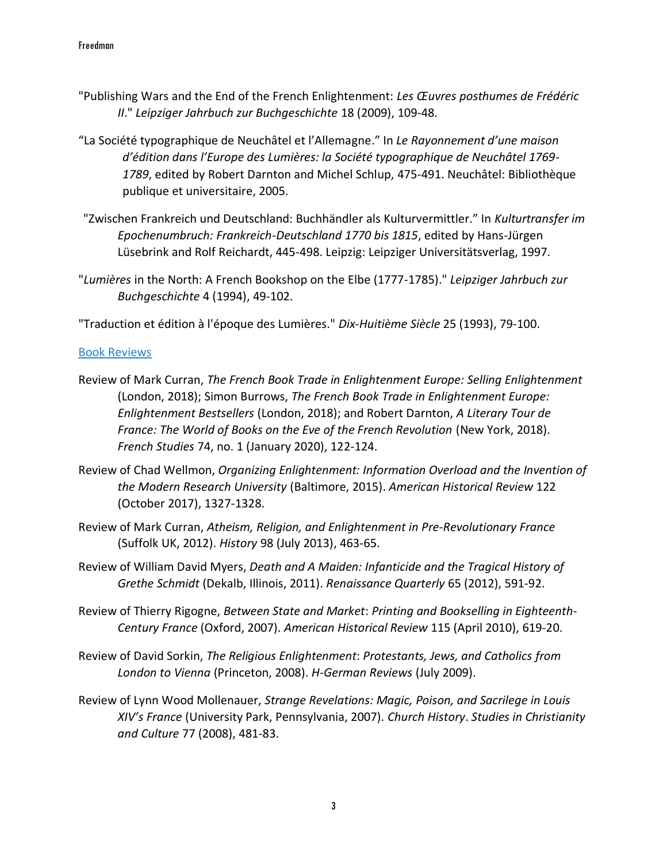- "Publishing Wars and the End of the French Enlightenment: *Les Œuvres posthumes de Frédéric II*." *Leipziger Jahrbuch zur Buchgeschichte* 18 (2009), 109-48.
- "La Société typographique de Neuchâtel et l'Allemagne." In *Le Rayonnement d'une maison d'édition dans l'Europe des Lumières: la Société typographique de Neuchâtel 1769- 1789*, edited by Robert Darnton and Michel Schlup, 475-491. Neuchâtel: Bibliothèque publique et universitaire, 2005.
- "Zwischen Frankreich und Deutschland: Buchhändler als Kulturvermittler." In *Kulturtransfer im Epochenumbruch: Frankreich-Deutschland 1770 bis 1815*, edited by Hans-Jürgen Lüsebrink and Rolf Reichardt, 445-498. Leipzig: Leipziger Universitätsverlag, 1997.
- "*Lumières* in the North: A French Bookshop on the Elbe (1777-1785)." *Leipziger Jahrbuch zur Buchgeschichte* 4 (1994), 49-102.

"Traduction et édition à l'époque des Lumières." *Dix-Huitième Siècle* 25 (1993), 79-100.

#### Book Reviews

- Review of Mark Curran, *The French Book Trade in Enlightenment Europe: Selling Enlightenment*  (London, 2018); Simon Burrows, *The French Book Trade in Enlightenment Europe: Enlightenment Bestsellers* (London, 2018); and Robert Darnton, *A Literary Tour de France: The World of Books on the Eve of the French Revolution* (New York, 2018). *French Studies* 74, no. 1 (January 2020), 122-124.
- Review of Chad Wellmon, *Organizing Enlightenment: Information Overload and the Invention of the Modern Research University* (Baltimore, 2015). *American Historical Review* 122 (October 2017), 1327-1328.
- Review of Mark Curran, *Atheism, Religion, and Enlightenment in Pre-Revolutionary France* (Suffolk UK, 2012). *History* 98 (July 2013), 463-65.
- Review of William David Myers, *Death and A Maiden: Infanticide and the Tragical History of Grethe Schmidt* (Dekalb, Illinois, 2011). *Renaissance Quarterly* 65 (2012), 591-92.
- Review of Thierry Rigogne, *Between State and Market*: *Printing and Bookselling in Eighteenth-Century France* (Oxford, 2007). *American Historical Review* 115 (April 2010), 619-20.
- Review of David Sorkin, *The Religious Enlightenment*: *Protestants, Jews, and Catholics from London to Vienna* (Princeton, 2008). *H-German Reviews* (July 2009).
- Review of Lynn Wood Mollenauer, *Strange Revelations: Magic, Poison, and Sacrilege in Louis XIV's France* (University Park, Pennsylvania, 2007). *Church History*. *Studies in Christianity and Culture* 77 (2008), 481-83.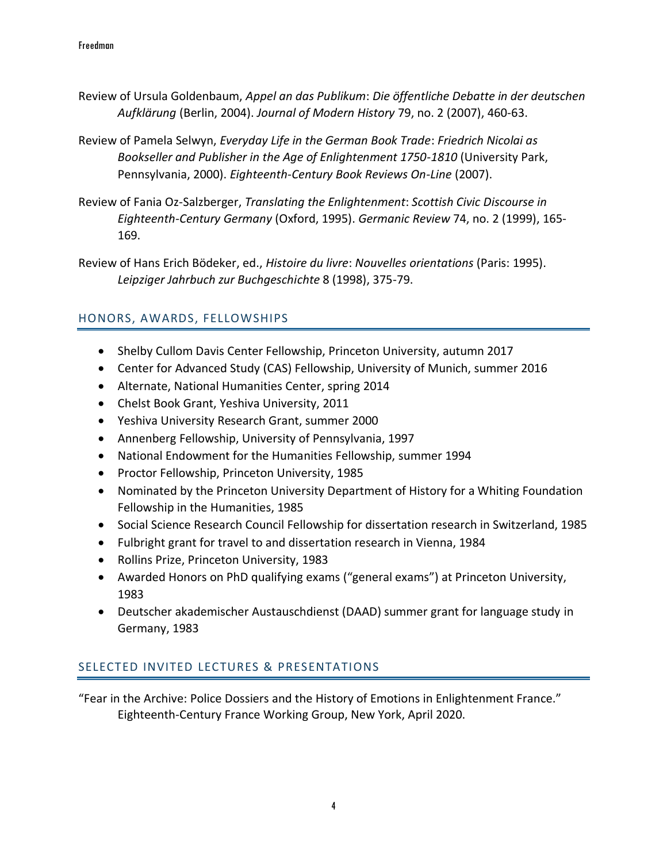- Review of Ursula Goldenbaum, *Appel an das Publikum*: *Die öffentliche Debatte in der deutschen Aufklärung* (Berlin, 2004). *Journal of Modern History* 79, no. 2 (2007), 460-63.
- Review of Pamela Selwyn, *Everyday Life in the German Book Trade*: *Friedrich Nicolai as Bookseller and Publisher in the Age of Enlightenment 1750-1810* (University Park, Pennsylvania, 2000). *Eighteenth-Century Book Reviews On-Line* (2007).
- Review of Fania Oz-Salzberger, *Translating the Enlightenment*: *Scottish Civic Discourse in Eighteenth-Century Germany* (Oxford, 1995). *Germanic Review* 74, no. 2 (1999), 165- 169.
- Review of Hans Erich Bödeker, ed., *Histoire du livre*: *Nouvelles orientations* (Paris: 1995). *Leipziger Jahrbuch zur Buchgeschichte* 8 (1998), 375-79.

## HONORS, AWARDS, FELLOWSHIPS

- Shelby Cullom Davis Center Fellowship, Princeton University, autumn 2017
- Center for Advanced Study (CAS) Fellowship, University of Munich, summer 2016
- Alternate, National Humanities Center, spring 2014
- Chelst Book Grant, Yeshiva University, 2011
- Yeshiva University Research Grant, summer 2000
- Annenberg Fellowship, University of Pennsylvania, 1997
- National Endowment for the Humanities Fellowship, summer 1994
- Proctor Fellowship, Princeton University, 1985
- Nominated by the Princeton University Department of History for a Whiting Foundation Fellowship in the Humanities, 1985
- Social Science Research Council Fellowship for dissertation research in Switzerland, 1985
- Fulbright grant for travel to and dissertation research in Vienna, 1984
- Rollins Prize, Princeton University, 1983
- Awarded Honors on PhD qualifying exams ("general exams") at Princeton University, 1983
- Deutscher akademischer Austauschdienst (DAAD) summer grant for language study in Germany, 1983

## SELECTED INVITED LECTURES & PRESENTATIONS

"Fear in the Archive: Police Dossiers and the History of Emotions in Enlightenment France." Eighteenth-Century France Working Group, New York, April 2020.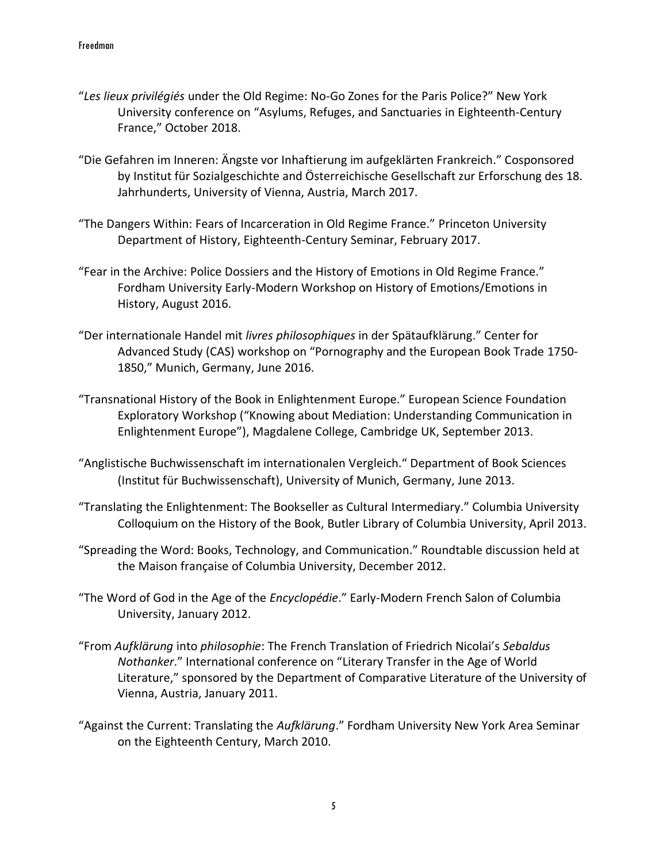- "*Les lieux privilégiés* under the Old Regime: No-Go Zones for the Paris Police?" New York University conference on "Asylums, Refuges, and Sanctuaries in Eighteenth-Century France," October 2018.
- "Die Gefahren im Inneren: Ängste vor Inhaftierung im aufgeklärten Frankreich." Cosponsored by Institut für Sozialgeschichte and Österreichische Gesellschaft zur Erforschung des 18. Jahrhunderts, University of Vienna, Austria, March 2017.
- "The Dangers Within: Fears of Incarceration in Old Regime France." Princeton University Department of History, Eighteenth-Century Seminar, February 2017.
- "Fear in the Archive: Police Dossiers and the History of Emotions in Old Regime France." Fordham University Early-Modern Workshop on History of Emotions/Emotions in History, August 2016.
- "Der internationale Handel mit *livres philosophiques* in der Spätaufklärung." Center for Advanced Study (CAS) workshop on "Pornography and the European Book Trade 1750- 1850," Munich, Germany, June 2016.
- "Transnational History of the Book in Enlightenment Europe." European Science Foundation Exploratory Workshop ("Knowing about Mediation: Understanding Communication in Enlightenment Europe"), Magdalene College, Cambridge UK, September 2013.
- "Anglistische Buchwissenschaft im internationalen Vergleich." Department of Book Sciences (Institut für Buchwissenschaft), University of Munich, Germany, June 2013.
- "Translating the Enlightenment: The Bookseller as Cultural Intermediary." Columbia University Colloquium on the History of the Book, Butler Library of Columbia University, April 2013.
- "Spreading the Word: Books, Technology, and Communication." Roundtable discussion held at the Maison française of Columbia University, December 2012.
- "The Word of God in the Age of the *Encyclopédie*." Early-Modern French Salon of Columbia University, January 2012.
- "From *Aufklärung* into *philosophie*: The French Translation of Friedrich Nicolai's *Sebaldus Nothanker*." International conference on "Literary Transfer in the Age of World Literature," sponsored by the Department of Comparative Literature of the University of Vienna, Austria, January 2011.
- "Against the Current: Translating the *Aufklärung*." Fordham University New York Area Seminar on the Eighteenth Century, March 2010.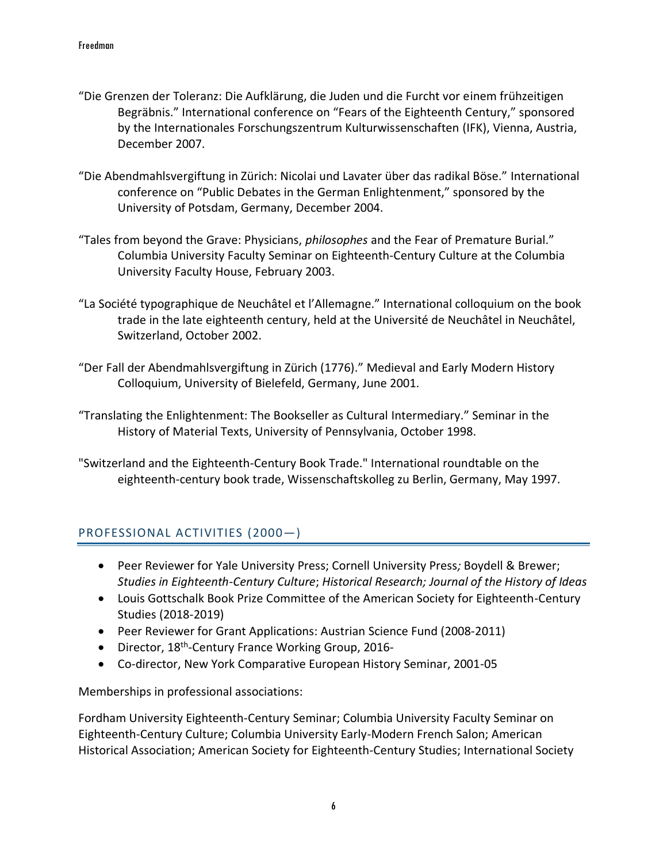- "Die Grenzen der Toleranz: Die Aufklärung, die Juden und die Furcht vor einem frühzeitigen Begräbnis." International conference on "Fears of the Eighteenth Century," sponsored by the Internationales Forschungszentrum Kulturwissenschaften (IFK), Vienna, Austria, December 2007.
- "Die Abendmahlsvergiftung in Zürich: Nicolai und Lavater über das radikal Böse." International conference on "Public Debates in the German Enlightenment," sponsored by the University of Potsdam, Germany, December 2004.
- "Tales from beyond the Grave: Physicians, *philosophes* and the Fear of Premature Burial." Columbia University Faculty Seminar on Eighteenth-Century Culture at the Columbia University Faculty House, February 2003.
- "La Société typographique de Neuchâtel et l'Allemagne." International colloquium on the book trade in the late eighteenth century, held at the Université de Neuchâtel in Neuchâtel, Switzerland, October 2002.
- "Der Fall der Abendmahlsvergiftung in Zürich (1776)." Medieval and Early Modern History Colloquium, University of Bielefeld, Germany, June 2001.
- "Translating the Enlightenment: The Bookseller as Cultural Intermediary." Seminar in the History of Material Texts, University of Pennsylvania, October 1998.
- "Switzerland and the Eighteenth-Century Book Trade." International roundtable on the eighteenth-century book trade, Wissenschaftskolleg zu Berlin, Germany, May 1997.

## PROFESSIONAL ACTIVITIES (2000—)

- Peer Reviewer for Yale University Press; Cornell University Press*;* Boydell & Brewer; *Studies in Eighteenth-Century Culture*; *Historical Research; Journal of the History of Ideas*
- Louis Gottschalk Book Prize Committee of the American Society for Eighteenth-Century Studies (2018-2019)
- Peer Reviewer for Grant Applications: Austrian Science Fund (2008-2011)
- Director, 18<sup>th</sup>-Century France Working Group, 2016-
- Co-director, New York Comparative European History Seminar, 2001-05

Memberships in professional associations:

Fordham University Eighteenth-Century Seminar; Columbia University Faculty Seminar on Eighteenth-Century Culture; Columbia University Early-Modern French Salon; American Historical Association; American Society for Eighteenth-Century Studies; International Society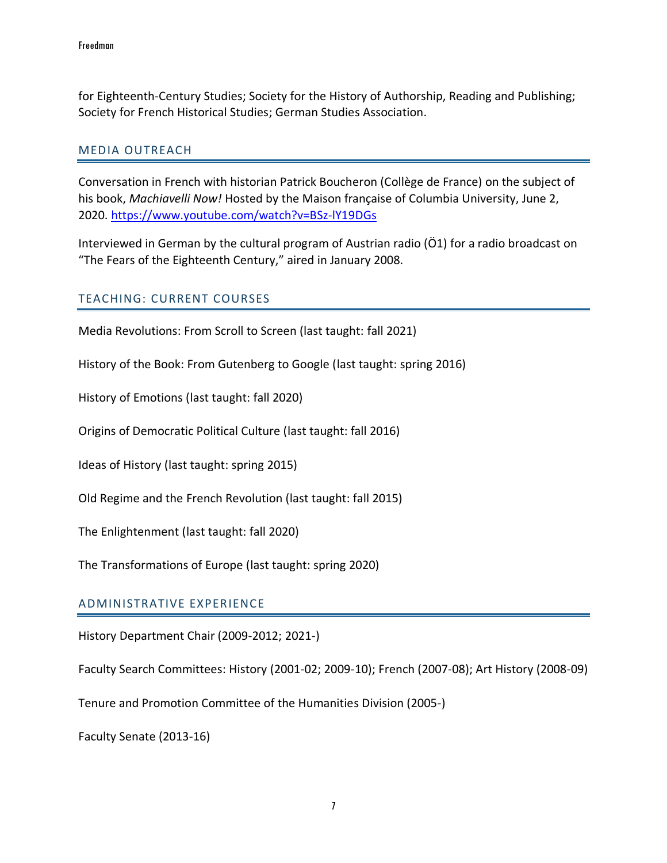for Eighteenth-Century Studies; Society for the History of Authorship, Reading and Publishing; Society for French Historical Studies; German Studies Association.

#### MEDIA OUTREACH

Conversation in French with historian Patrick Boucheron (Collège de France) on the subject of his book, *Machiavelli Now!* Hosted by the Maison française of Columbia University, June 2, 2020.<https://www.youtube.com/watch?v=BSz-lY19DGs>

Interviewed in German by the cultural program of Austrian radio (Ö1) for a radio broadcast on "The Fears of the Eighteenth Century," aired in January 2008.

#### TEACHING: CURRENT COURSES

Media Revolutions: From Scroll to Screen (last taught: fall 2021)

History of the Book: From Gutenberg to Google (last taught: spring 2016)

History of Emotions (last taught: fall 2020)

Origins of Democratic Political Culture (last taught: fall 2016)

Ideas of History (last taught: spring 2015)

Old Regime and the French Revolution (last taught: fall 2015)

The Enlightenment (last taught: fall 2020)

The Transformations of Europe (last taught: spring 2020)

#### ADMINISTRATIVE EXPERIENCE

History Department Chair (2009-2012; 2021-)

Faculty Search Committees: History (2001-02; 2009-10); French (2007-08); Art History (2008-09)

Tenure and Promotion Committee of the Humanities Division (2005-)

Faculty Senate (2013-16)